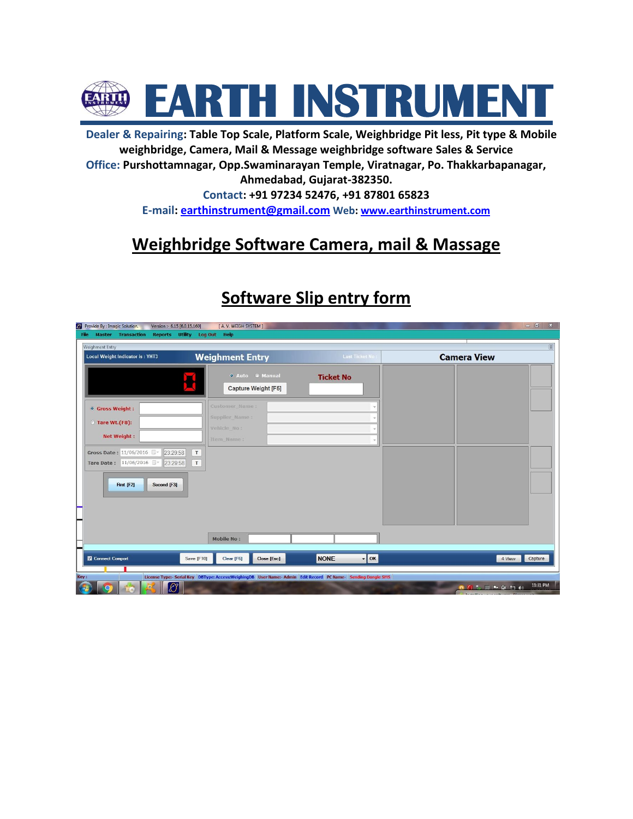

**Dealer & Repairing: Table Top Scale, Platform Scale, Weighbridge Pit less, Pit type & Mobile weighbridge, Camera, Mail & Message weighbridge software Sales & Service Office: Purshottamnagar, Opp.Swaminarayan Temple, Viratnagar, Po. Thakkarbapanagar,** 

**Ahmedabad, Gujarat-382350.** 

**Contact: +91 97234 52476, +91 87801 65823 E-mail: [earthinstrument@gmail.com](mailto:earthinstrument@gmail.com) Web: [www.earthinstrument.com](http://www.earthinstrument.com/)**

# **Weighbridge Software Camera, mail & Massage**

| <sup>2</sup> Provide By : Imagic Solution.<br>Version :- 6.15 [6.0.15.160]<br><b>Master Transaction</b><br><b>File</b> | [ A.V. WEIGH SYSTEM ]<br>Reports Utility Log Out Help                                                                    | $-0$<br>$\mathbf{x}$                                                                                                       |
|------------------------------------------------------------------------------------------------------------------------|--------------------------------------------------------------------------------------------------------------------------|----------------------------------------------------------------------------------------------------------------------------|
| Weighment Entry                                                                                                        |                                                                                                                          |                                                                                                                            |
| Local Weight Indicator is: YHT3                                                                                        | <b>Weighment Entry</b><br>Last Ticket No:                                                                                | <b>Camera View</b>                                                                                                         |
|                                                                                                                        | <b>O</b> Auto <b>O</b> Manual<br><b>Ticket No</b><br>Capture Weight [F5]                                                 |                                                                                                                            |
| <b>O</b> Gross Weight:                                                                                                 | Customer Name:                                                                                                           |                                                                                                                            |
| Tare Wt.(F8):                                                                                                          | Supplier_Name:<br>Vehicle_No:                                                                                            |                                                                                                                            |
| <b>Net Weight:</b>                                                                                                     | Item_Name:                                                                                                               |                                                                                                                            |
| Gross Date: 11/06/2016<br>23:29:58<br>Tare Date: 11/06/2016<br>23:29:58                                                | $\ensuremath{\mathsf{T}}$<br>T                                                                                           |                                                                                                                            |
| Second [F3]<br>First [F2]                                                                                              |                                                                                                                          |                                                                                                                            |
|                                                                                                                        |                                                                                                                          |                                                                                                                            |
|                                                                                                                        | <b>Mobile No:</b>                                                                                                        |                                                                                                                            |
| Connect Comport                                                                                                        | $\mathbf{F}$ ok<br><b>NONE</b><br>Save [F10]<br>Clear [F6]<br>Close [Esc]                                                | Capture<br>4 View                                                                                                          |
|                                                                                                                        | License Type:- Serial Key   DBType: Access: WeighingDB   User Name:- Admin   Edit Record   PC Name-   Sending Dongle SMS |                                                                                                                            |
| $\mathscr{E}$<br>$\circ$                                                                                               |                                                                                                                          | 11:31 PM<br>$0$ $0$ $\rightarrow$ $\blacksquare$ $\blacksquare$ $\uparrow$ $\uparrow$ $\blacksquare$ $\uparrow$ $\uparrow$ |

# **Software Slip entry form**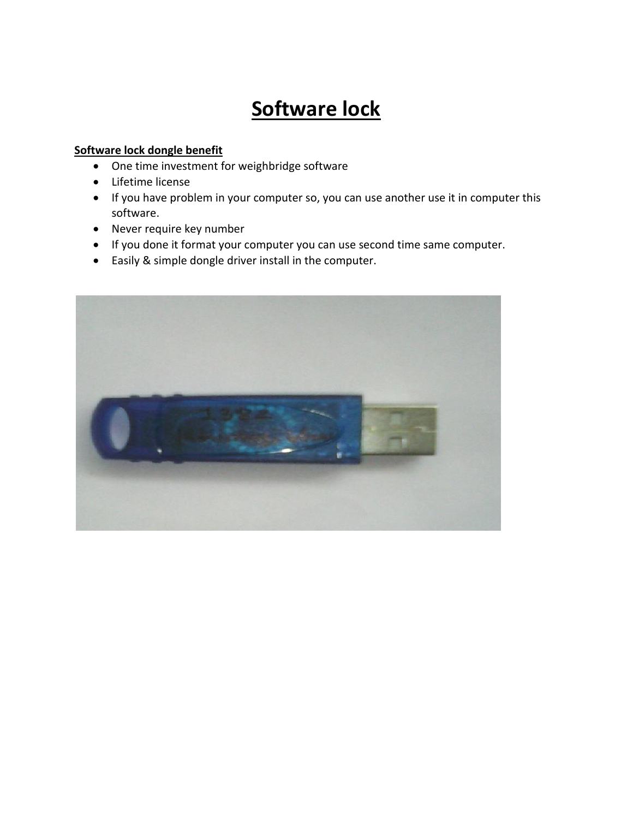# **Software lock**

#### **Software lock dongle benefit**

- One time investment for weighbridge software
- Lifetime license
- If you have problem in your computer so, you can use another use it in computer this software.
- Never require key number
- If you done it format your computer you can use second time same computer.
- Easily & simple dongle driver install in the computer.

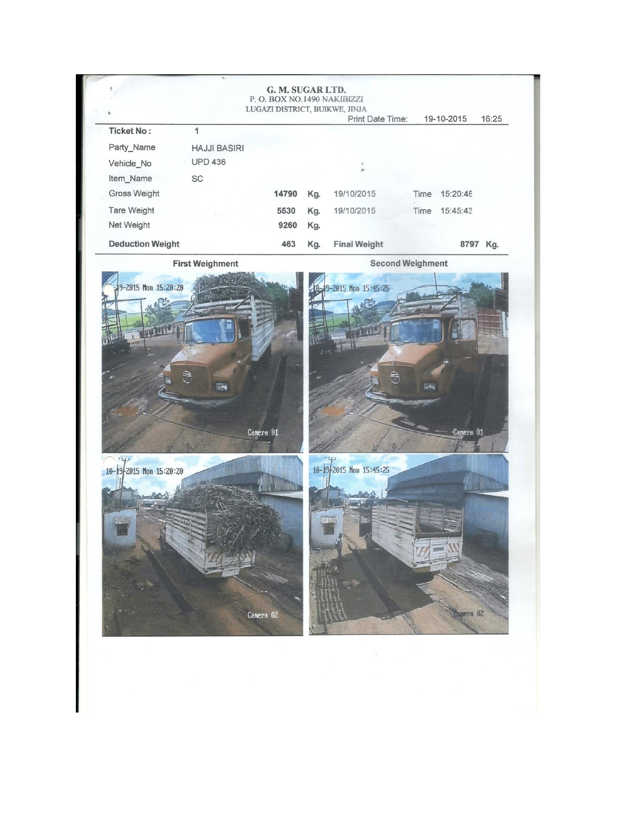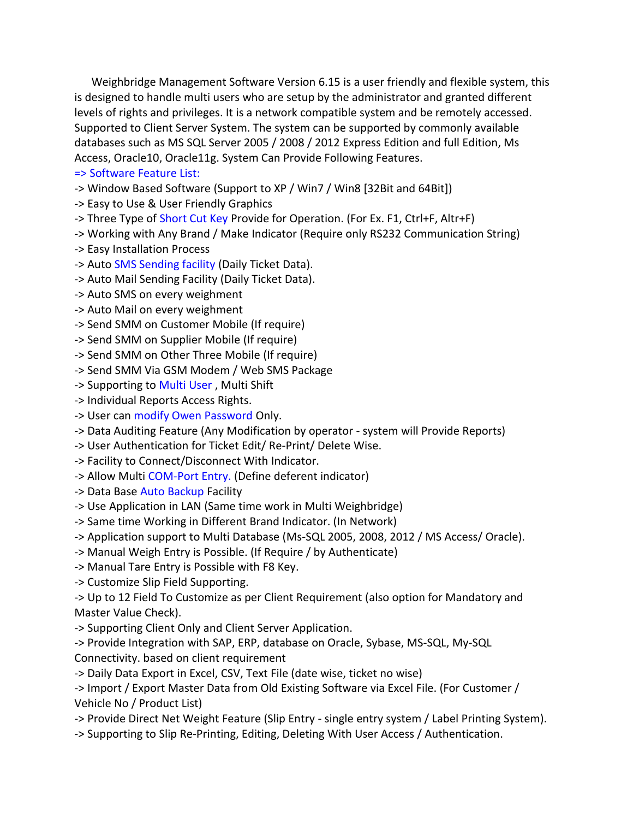Weighbridge Management Software Version 6.15 is a user friendly and flexible system, this is designed to handle multi users who are setup by the administrator and granted different levels of rights and privileges. It is a network compatible system and be remotely accessed. Supported to Client Server System. The system can be supported by commonly available databases such as MS SQL Server 2005 / 2008 / 2012 Express Edition and full Edition, Ms Access, Oracle10, Oracle11g. System Can Provide Following Features.

=> Software Feature List:

-> Window Based Software (Support to XP / Win7 / Win8 [32Bit and 64Bit])

-> Easy to Use & User Friendly Graphics

-> Three Type of [Short Cut Key P](mk:@MSITStore:C:/Program%20Files%20(x86)/I%20Magic%20Solution/Weighbridge%20Management%20Software/WB%20Help.chm::/Toolbar.html)rovide for Operation. (For Ex. F1, Ctrl+F, Altr+F)

-> Working with Any Brand / Make Indicator (Require only RS232 Communication String)

-> Easy Installation Process

-> Aut[o SMS Sending facility \(](mk:@MSITStore:C:/Program%20Files%20(x86)/I%20Magic%20Solution/Weighbridge%20Management%20Software/WB%20Help.chm::/SMS%20Setting.html)Daily Ticket Data).

-> Auto Mail Sending Facility (Daily Ticket Data).

-> Auto SMS on every weighment

-> Auto Mail on every weighment

-> Send SMM on Customer Mobile (If require)

-> Send SMM on Supplier Mobile (If require)

-> Send SMM on Other Three Mobile (If require)

-> Send SMM Via GSM Modem / Web SMS Package

-> Supporting to [Multi User ,](mk:@MSITStore:C:/Program%20Files%20(x86)/I%20Magic%20Solution/Weighbridge%20Management%20Software/WB%20Help.chm::/User%20Master.html) Multi Shift

-> Individual Reports Access Rights.

-> User can [modify Owen Password O](mk:@MSITStore:C:/Program%20Files%20(x86)/I%20Magic%20Solution/Weighbridge%20Management%20Software/WB%20Help.chm::/Change%20User%20Password.html)nly.

-> Data Auditing Feature (Any Modification by operator - system will Provide Reports)

-> User Authentication for Ticket Edit/ Re-Print/ Delete Wise.

-> Facility to Connect/Disconnect With Indicator.

-> Allow Multi [COM-Port Entry. \(](mk:@MSITStore:C:/Program%20Files%20(x86)/I%20Magic%20Solution/Weighbridge%20Management%20Software/WB%20Help.chm::/COM%20Port%20Setup.html)Define deferent indicator)

-> Data Base [Auto Backup F](mk:@MSITStore:C:/Program%20Files%20(x86)/I%20Magic%20Solution/Weighbridge%20Management%20Software/WB%20Help.chm::/Auto%20Backup%20Setting.html)acility

-> Use Application in LAN (Same time work in Multi Weighbridge)

-> Same time Working in Different Brand Indicator. (In Network)

-> Application support to Multi Database (Ms-SQL 2005, 2008, 2012 / MS Access/ Oracle).

-> Manual Weigh Entry is Possible. (If Require / by Authenticate)

-> Manual Tare Entry is Possible with F8 Key.

-> Customize Slip Field Supporting.

-> Up to 12 Field To Customize as per Client Requirement (also option for Mandatory and Master Value Check).

-> Supporting Client Only and Client Server Application.

-> Provide Integration with SAP, ERP, database on Oracle, Sybase, MS-SQL, My-SQL Connectivity. based on client requirement

-> Daily Data Export in Excel, CSV, Text File (date wise, ticket no wise)

-> Import / Export Master Data from Old Existing Software via Excel File. (For Customer / Vehicle No / Product List)

-> Provide Direct Net Weight Feature (Slip Entry - single entry system / Label Printing System).

-> Supporting to Slip Re-Printing, Editing, Deleting With User Access / Authentication.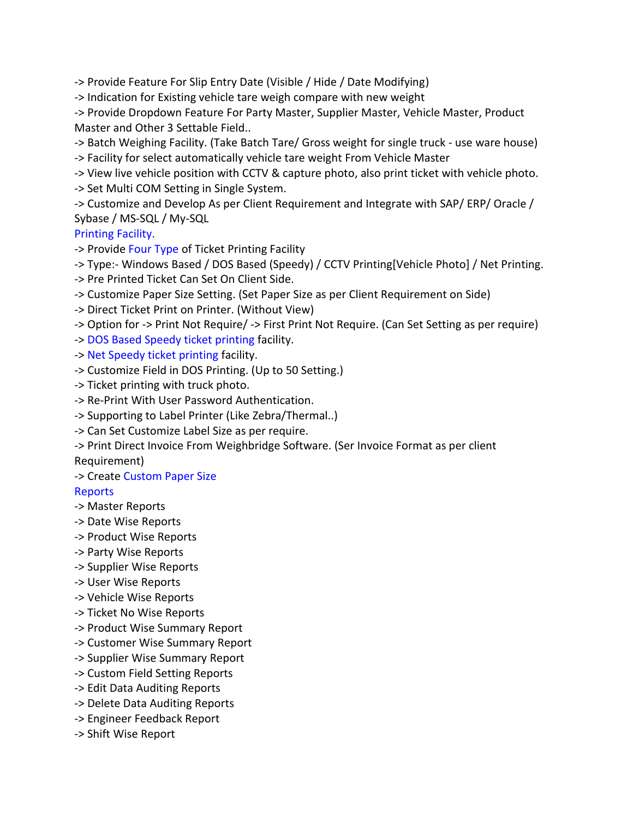-> Provide Feature For Slip Entry Date (Visible / Hide / Date Modifying)

-> Indication for Existing vehicle tare weigh compare with new weight

-> Provide Dropdown Feature For Party Master, Supplier Master, Vehicle Master, Product Master and Other 3 Settable Field..

-> Batch Weighing Facility. (Take Batch Tare/ Gross weight for single truck - use ware house) -> Facility for select automatically vehicle tare weight From Vehicle Master

-> View live vehicle position with CCTV & capture photo, also print ticket with vehicle photo. -> Set Multi COM Setting in Single System.

-> Customize and Develop As per Client Requirement and Integrate with SAP/ ERP/ Oracle / Sybase / MS-SQL / My-SQL

[Printing Facility.](mk:@MSITStore:C:/Program%20Files%20(x86)/I%20Magic%20Solution/Weighbridge%20Management%20Software/WB%20Help.chm::/Printing%20Setting.html) 

-> Provide [Four Type o](mk:@MSITStore:C:/Program%20Files%20(x86)/I%20Magic%20Solution/Weighbridge%20Management%20Software/WB%20Help.chm::/Printing%20Setting.html)f Ticket Printing Facility

-> Type:- Windows Based / DOS Based (Speedy) / CCTV Printing[Vehicle Photo] / Net Printing.

-> Pre Printed Ticket Can Set On Client Side.

-> Customize Paper Size Setting. (Set Paper Size as per Client Requirement on Side)

-> Direct Ticket Print on Printer. (Without View)

-> Option for -> Print Not Require/ -> First Print Not Require. (Can Set Setting as per require)

-> [DOS Based Speedy ticket printing](mk:@MSITStore:C:/Program%20Files%20(x86)/I%20Magic%20Solution/Weighbridge%20Management%20Software/WB%20Help.chm::/Printing%20Setting.html) facility.

-> [Net Speedy ticket printing](mk:@MSITStore:C:/Program%20Files%20(x86)/I%20Magic%20Solution/Weighbridge%20Management%20Software/WB%20Help.chm::/Nwt%20Printing%20Setting.html) facility.

-> Customize Field in DOS Printing. (Up to 50 Setting.)

-> Ticket printing with truck photo.

-> Re-Print With User Password Authentication.

-> Supporting to Label Printer (Like Zebra/Thermal..)

-> Can Set Customize Label Size as per require.

-> Print Direct Invoice From Weighbridge Software. (Ser Invoice Format as per client Requirement)

### -> Create [Custom Paper Size](mk:@MSITStore:C:/Program%20Files%20(x86)/I%20Magic%20Solution/Weighbridge%20Management%20Software/WB%20Help.chm::/Create%20Custome%20Paper%20Size.html)

### [Reports](mk:@MSITStore:C:/Program%20Files%20(x86)/I%20Magic%20Solution/Weighbridge%20Management%20Software/WB%20Help.chm::/Reports.html)

-> Master Reports

- -> Date Wise Reports
- -> Product Wise Reports
- -> Party Wise Reports
- -> Supplier Wise Reports
- -> User Wise Reports
- -> Vehicle Wise Reports
- -> Ticket No Wise Reports
- -> Product Wise Summary Report
- -> Customer Wise Summary Report
- -> Supplier Wise Summary Report
- -> Custom Field Setting Reports
- -> Edit Data Auditing Reports
- -> Delete Data Auditing Reports
- -> Engineer Feedback Report
- -> Shift Wise Report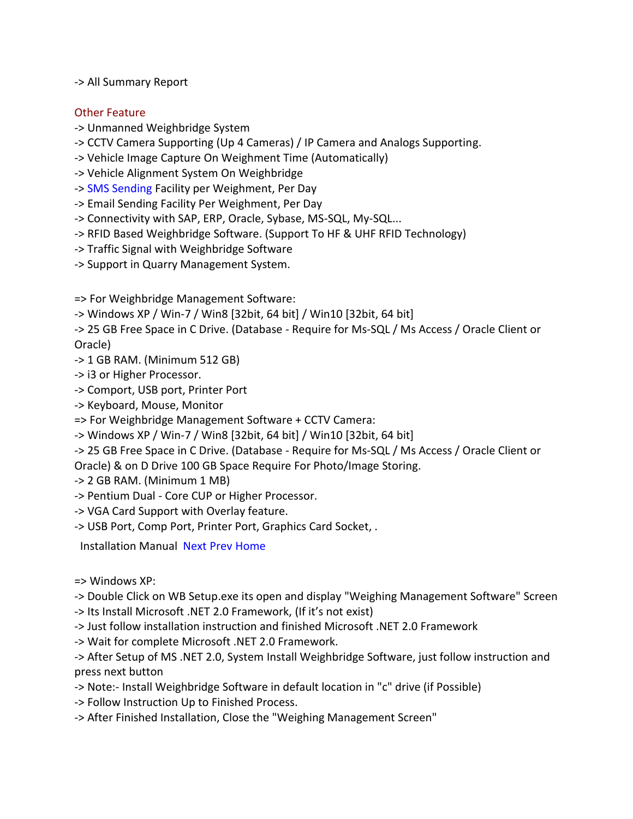-> All Summary Report

#### Other Feature

- -> Unmanned Weighbridge System
- -> CCTV Camera Supporting (Up 4 Cameras) / IP Camera and Analogs Supporting.
- -> Vehicle Image Capture On Weighment Time (Automatically)
- -> Vehicle Alignment System On Weighbridge
- -> [SMS Sending F](mk:@MSITStore:C:/Program%20Files%20(x86)/I%20Magic%20Solution/Weighbridge%20Management%20Software/WB%20Help.chm::/SMS%20Setting.html)acility per Weighment, Per Day
- -> Email Sending Facility Per Weighment, Per Day
- -> Connectivity with SAP, ERP, Oracle, Sybase, MS-SQL, My-SQL...
- -> RFID Based Weighbridge Software. (Support To HF & UHF RFID Technology)
- -> Traffic Signal with Weighbridge Software
- -> Support in Quarry Management System.

=> For Weighbridge Management Software:

-> Windows XP / Win-7 / Win8 [32bit, 64 bit] / Win10 [32bit, 64 bit]

-> 25 GB Free Space in C Drive. (Database - Require for Ms-SQL / Ms Access / Oracle Client or Oracle)

- -> 1 GB RAM. (Minimum 512 GB)
- -> i3 or Higher Processor.
- -> Comport, USB port, Printer Port
- -> Keyboard, Mouse, Monitor
- => For Weighbridge Management Software + CCTV Camera:
- -> Windows XP / Win-7 / Win8 [32bit, 64 bit] / Win10 [32bit, 64 bit]
- -> 25 GB Free Space in C Drive. (Database Require for Ms-SQL / Ms Access / Oracle Client or
- Oracle) & on D Drive 100 GB Space Require For Photo/Image Storing.
- -> 2 GB RAM. (Minimum 1 MB)
- -> Pentium Dual Core CUP or Higher Processor.
- -> VGA Card Support with Overlay feature.
- -> USB Port, Comp Port, Printer Port, Graphics Card Socket, .

Installation Manual [Next](mk:@MSITStore:C:/Program%20Files%20(x86)/I%20Magic%20Solution/Weighbridge%20Management%20Software/WB%20Help.chm::/Implementation.html) [Prev](mk:@MSITStore:C:/Program%20Files%20(x86)/I%20Magic%20Solution/Weighbridge%20Management%20Software/WB%20Help.chm::/System%20Requirement.html) [Home](mk:@MSITStore:C:/Program%20Files%20(x86)/I%20Magic%20Solution/Weighbridge%20Management%20Software/WB%20Help.chm::/Sitemap.html) 

=> Windows XP:

-> Double Click on WB Setup.exe its open and display "Weighing Management Software" Screen

- -> Its Install Microsoft .NET 2.0 Framework, (If it's not exist)
- -> Just follow installation instruction and finished Microsoft .NET 2.0 Framework
- -> Wait for complete Microsoft .NET 2.0 Framework.

-> After Setup of MS .NET 2.0, System Install Weighbridge Software, just follow instruction and press next button

- -> Note:- Install Weighbridge Software in default location in "c" drive (if Possible)
- -> Follow Instruction Up to Finished Process.
- -> After Finished Installation, Close the "Weighing Management Screen"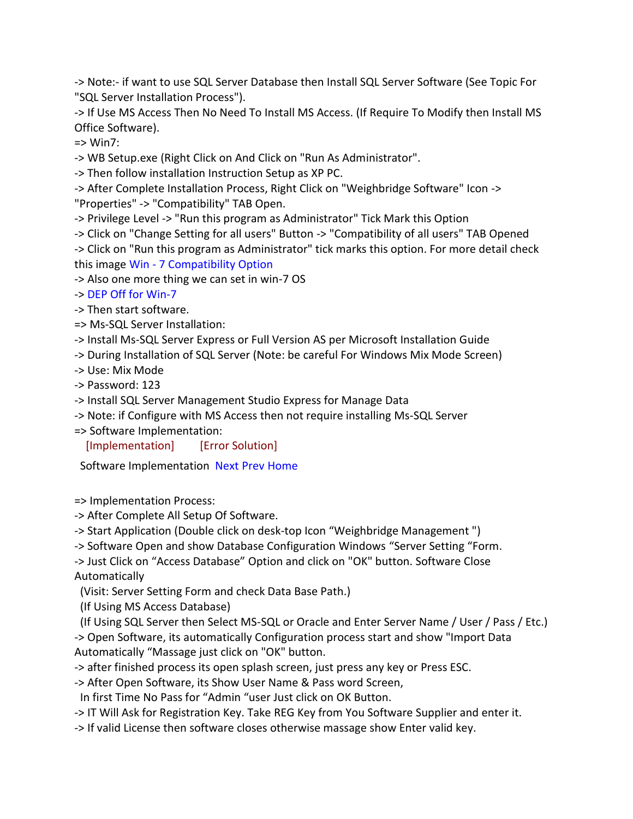-> Note:- if want to use SQL Server Database then Install SQL Server Software (See Topic For "SQL Server Installation Process").

-> If Use MS Access Then No Need To Install MS Access. (If Require To Modify then Install MS Office Software).

 $\Rightarrow$  Win7:

-> WB Setup.exe (Right Click on And Click on "Run As Administrator".

-> Then follow installation Instruction Setup as XP PC.

-> After Complete Installation Process, Right Click on "Weighbridge Software" Icon -> "Properties" -> "Compatibility" TAB Open.

-> Privilege Level -> "Run this program as Administrator" Tick Mark this Option

-> Click on "Change Setting for all users" Button -> "Compatibility of all users" TAB Opened

-> Click on "Run this program as Administrator" tick marks this option. For more detail check this image Win - [7 Compatibility Option](mk:@MSITStore:C:/Program%20Files%20(x86)/I%20Magic%20Solution/Weighbridge%20Management%20Software/WB%20Help.chm::/Error%20Solution.html) 

-> Also one more thing we can set in win-7 OS

-> [DEP Off for Win-7](mk:@MSITStore:C:/Program%20Files%20(x86)/I%20Magic%20Solution/Weighbridge%20Management%20Software/WB%20Help.chm::/Error%20Solution.html) 

-> Then start software.

=> Ms-SQL Server Installation:

-> Install Ms-SQL Server Express or Full Version AS per Microsoft Installation Guide

-> During Installation of SQL Server (Note: be careful For Windows Mix Mode Screen)

-> Use: Mix Mode

-> Password: 123

-> Install SQL Server Management Studio Express for Manage Data

-> Note: if Configure with MS Access then not require installing Ms-SQL Server

=> Software Implementation:

[\[Implementation\]](mk:@MSITStore:C:/Program%20Files%20(x86)/I%20Magic%20Solution/Weighbridge%20Management%20Software/WB%20Help.chm::/Implementation.html) [\[Error Solution\]](mk:@MSITStore:C:/Program%20Files%20(x86)/I%20Magic%20Solution/Weighbridge%20Management%20Software/WB%20Help.chm::/Error%20Solution.html)

Software Implementation [Next](mk:@MSITStore:C:/Program%20Files%20(x86)/I%20Magic%20Solution/Weighbridge%20Management%20Software/WB%20Help.chm::/toolbar.html) [Prev](mk:@MSITStore:C:/Program%20Files%20(x86)/I%20Magic%20Solution/Weighbridge%20Management%20Software/WB%20Help.chm::/Installation%20Manual.html) [Home](mk:@MSITStore:C:/Program%20Files%20(x86)/I%20Magic%20Solution/Weighbridge%20Management%20Software/WB%20Help.chm::/Sitemap.html) 

=> Implementation Process:

-> After Complete All Setup Of Software.

-> Start Application (Double click on desk-top Icon "Weighbridge Management ")

-> Software Open and show Database Configuration Windows "Server Setting "Form.

-> Just Click on "Access Database" Option and click on "OK" button. Software Close Automatically

(Visit: Server Setting Form and check Data Base Path.)

(If Using MS Access Database)

(If Using SQL Server then Select MS-SQL or Oracle and Enter Server Name / User / Pass / Etc.) -> Open Software, its automatically Configuration process start and show "Import Data

Automatically "Massage just click on "OK" button.

-> after finished process its open splash screen, just press any key or Press ESC.

-> After Open Software, its Show User Name & Pass word Screen,

In first Time No Pass for "Admin "user Just click on OK Button.

-> IT Will Ask for Registration Key. Take REG Key from You Software Supplier and enter it.

-> If valid License then software closes otherwise massage show Enter valid key.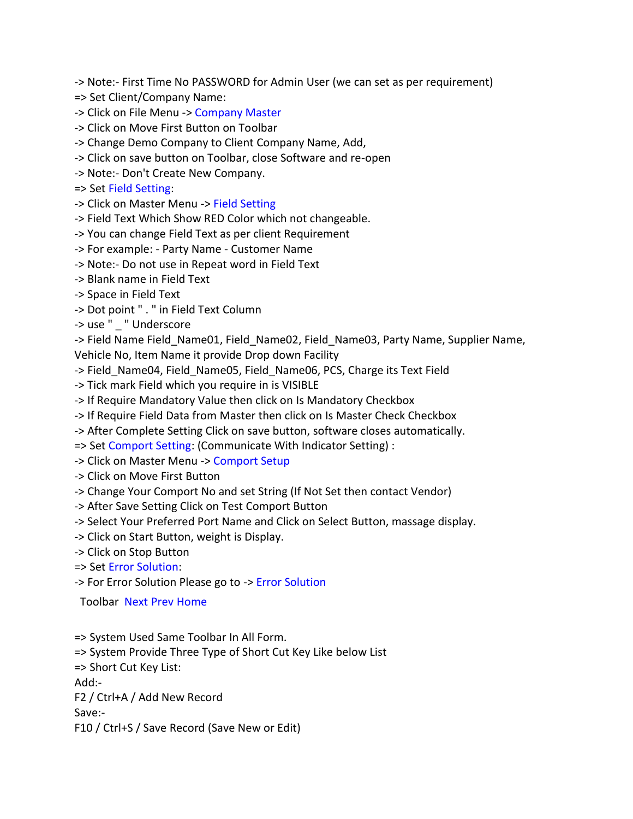-> Note:- First Time No PASSWORD for Admin User (we can set as per requirement)

- => Set Client/Company Name:
- -> Click on File Menu -> [Company Master](mk:@MSITStore:C:/Program%20Files%20(x86)/I%20Magic%20Solution/Weighbridge%20Management%20Software/WB%20Help.chm::/Company%20Master.html)
- -> Click on Move First Button on Toolbar
- -> Change Demo Company to Client Company Name, Add,
- -> Click on save button on Toolbar, close Software and re-open
- -> Note:- Don't Create New Company.
- => Set [Field Setting:](mk:@MSITStore:C:/Program%20Files%20(x86)/I%20Magic%20Solution/Weighbridge%20Management%20Software/WB%20Help.chm::/Field%20Setting.html)
- -> Click on Master Menu -> [Field Setting](mk:@MSITStore:C:/Program%20Files%20(x86)/I%20Magic%20Solution/Weighbridge%20Management%20Software/WB%20Help.chm::/Field%20Setting.html)
- -> Field Text Which Show RED Color which not changeable.
- -> You can change Field Text as per client Requirement
- -> For example: Party Name Customer Name
- -> Note:- Do not use in Repeat word in Field Text
- -> Blank name in Field Text
- -> Space in Field Text
- -> Dot point " . " in Field Text Column
- -> use " " Underscore

-> Field Name Field Name01, Field Name02, Field Name03, Party Name, Supplier Name,

Vehicle No, Item Name it provide Drop down Facility

- -> Field\_Name04, Field\_Name05, Field\_Name06, PCS, Charge its Text Field
- -> Tick mark Field which you require in is VISIBLE
- -> If Require Mandatory Value then click on Is Mandatory Checkbox
- -> If Require Field Data from Master then click on Is Master Check Checkbox
- -> After Complete Setting Click on save button, software closes automatically.
- => Set [Comport Setting:](mk:@MSITStore:C:/Program%20Files%20(x86)/I%20Magic%20Solution/Weighbridge%20Management%20Software/WB%20Help.chm::/COM%20Port%20Setup.html) (Communicate With Indicator Setting) :
- -> Click on Master Menu -> [Comport Setup](mk:@MSITStore:C:/Program%20Files%20(x86)/I%20Magic%20Solution/Weighbridge%20Management%20Software/WB%20Help.chm::/COM%20Port%20Setup.html)
- -> Click on Move First Button
- -> Change Your Comport No and set String (If Not Set then contact Vendor)
- -> After Save Setting Click on Test Comport Button
- -> Select Your Preferred Port Name and Click on Select Button, massage display.
- -> Click on Start Button, weight is Display.
- -> Click on Stop Button
- => Set [Error Solution:](mk:@MSITStore:C:/Program%20Files%20(x86)/I%20Magic%20Solution/Weighbridge%20Management%20Software/WB%20Help.chm::/Error%20Solution.html)

-> For Error Solution Please go to -[> Error Solution](mk:@MSITStore:C:/Program%20Files%20(x86)/I%20Magic%20Solution/Weighbridge%20Management%20Software/WB%20Help.chm::/Error%20Solution.html) 

Toolbar [Next](mk:@MSITStore:C:/Program%20Files%20(x86)/I%20Magic%20Solution/Weighbridge%20Management%20Software/WB%20Help.chm::/Server%20Setting.html) [Prev](mk:@MSITStore:C:/Program%20Files%20(x86)/I%20Magic%20Solution/Weighbridge%20Management%20Software/WB%20Help.chm::/Implementation.html) [Home](mk:@MSITStore:C:/Program%20Files%20(x86)/I%20Magic%20Solution/Weighbridge%20Management%20Software/WB%20Help.chm::/Sitemap.html) 

=> System Used Same Toolbar In All Form.

=> System Provide Three Type of Short Cut Key Like below List

=> Short Cut Key List:

Add:-

F2 / Ctrl+A / Add New Record

Save:-

F10 / Ctrl+S / Save Record (Save New or Edit)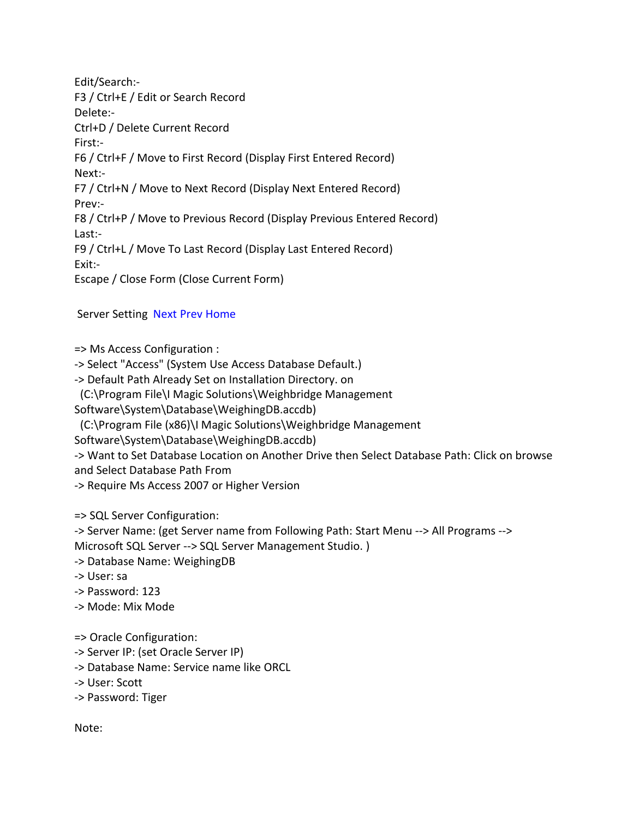Edit/Search:- F3 / Ctrl+E / Edit or Search Record Delete:- Ctrl+D / Delete Current Record First:- F6 / Ctrl+F / Move to First Record (Display First Entered Record) Next:- F7 / Ctrl+N / Move to Next Record (Display Next Entered Record) Prev:- F8 / Ctrl+P / Move to Previous Record (Display Previous Entered Record) Last:- F9 / Ctrl+L / Move To Last Record (Display Last Entered Record) Exit:- Escape / Close Form (Close Current Form)

#### Server Setting [Next](mk:@MSITStore:C:/Program%20Files%20(x86)/I%20Magic%20Solution/Weighbridge%20Management%20Software/WB%20Help.chm::/Company%20Master.html) [Prev](mk:@MSITStore:C:/Program%20Files%20(x86)/I%20Magic%20Solution/Weighbridge%20Management%20Software/WB%20Help.chm::/Toolbar.html) [Home](mk:@MSITStore:C:/Program%20Files%20(x86)/I%20Magic%20Solution/Weighbridge%20Management%20Software/WB%20Help.chm::/Sitemap.html)

=> Ms Access Configuration :

-> Select "Access" (System Use Access Database Default.)

-> Default Path Already Set on Installation Directory. on

(C:\Program File\I Magic Solutions\Weighbridge Management

Software\System\Database\WeighingDB.accdb)

(C:\Program File (x86)\I Magic Solutions\Weighbridge Management

Software\System\Database\WeighingDB.accdb)

-> Want to Set Database Location on Another Drive then Select Database Path: Click on browse and Select Database Path From

-> Require Ms Access 2007 or Higher Version

=> SQL Server Configuration:

-> Server Name: (get Server name from Following Path: Start Menu --> All Programs --> Microsoft SQL Server --> SQL Server Management Studio. )

- -> Database Name: WeighingDB
- -> User: sa
- -> Password: 123
- -> Mode: Mix Mode
- => Oracle Configuration:
- -> Server IP: (set Oracle Server IP)
- -> Database Name: Service name like ORCL
- -> User: Scott
- -> Password: Tiger

Note: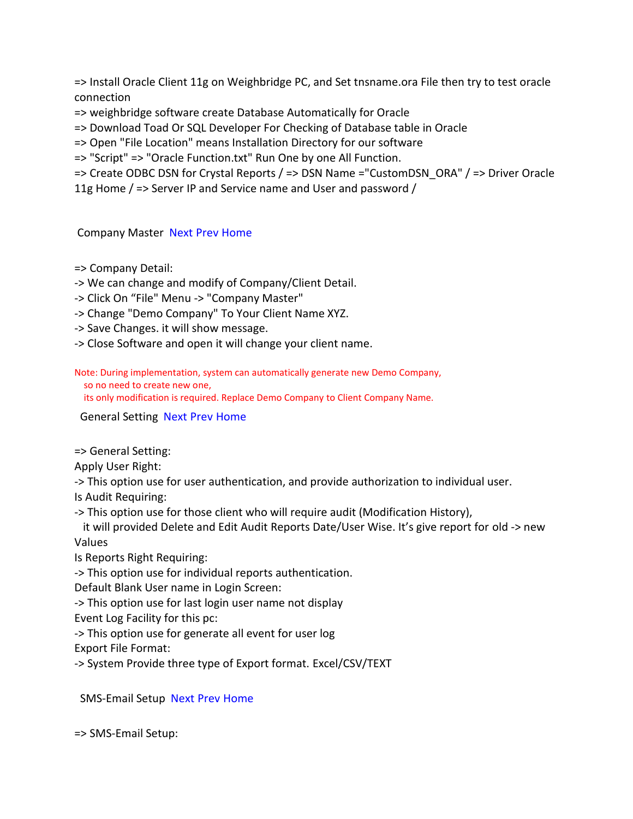=> Install Oracle Client 11g on Weighbridge PC, and Set tnsname.ora File then try to test oracle connection

=> weighbridge software create Database Automatically for Oracle

=> Download Toad Or SQL Developer For Checking of Database table in Oracle

=> Open "File Location" means Installation Directory for our software

=> "Script" => "Oracle Function.txt" Run One by one All Function.

=> Create ODBC DSN for Crystal Reports / => DSN Name ="CustomDSN\_ORA" / => Driver Oracle

11g Home / => Server IP and Service name and User and password /

#### Company Master [Next](mk:@MSITStore:C:/Program%20Files%20(x86)/I%20Magic%20Solution/Weighbridge%20Management%20Software/WB%20Help.chm::/General%20Setting.html) [Prev](mk:@MSITStore:C:/Program%20Files%20(x86)/I%20Magic%20Solution/Weighbridge%20Management%20Software/WB%20Help.chm::/Server%20Setting.html) [Home](mk:@MSITStore:C:/Program%20Files%20(x86)/I%20Magic%20Solution/Weighbridge%20Management%20Software/WB%20Help.chm::/Sitemap.html)

=> Company Detail:

-> We can change and modify of Company/Client Detail.

-> Click On "File" Menu -> "Company Master"

-> Change "Demo Company" To Your Client Name XYZ.

-> Save Changes. it will show message.

-> Close Software and open it will change your client name.

Note: During implementation, system can automatically generate new Demo Company, so no need to create new one,

its only modification is required. Replace Demo Company to Client Company Name.

General Setting [Next](mk:@MSITStore:C:/Program%20Files%20(x86)/I%20Magic%20Solution/Weighbridge%20Management%20Software/WB%20Help.chm::/Printing%20Setting.html) [Prev](mk:@MSITStore:C:/Program%20Files%20(x86)/I%20Magic%20Solution/Weighbridge%20Management%20Software/WB%20Help.chm::/Company%20Master.html) [Home](mk:@MSITStore:C:/Program%20Files%20(x86)/I%20Magic%20Solution/Weighbridge%20Management%20Software/WB%20Help.chm::/Sitemap.html) 

=> General Setting:

Apply User Right:

-> This option use for user authentication, and provide authorization to individual user.

Is Audit Requiring:

-> This option use for those client who will require audit (Modification History),

it will provided Delete and Edit Audit Reports Date/User Wise. It's give report for old -> new Values

Is Reports Right Requiring:

-> This option use for individual reports authentication.

Default Blank User name in Login Screen:

-> This option use for last login user name not display

Event Log Facility for this pc:

-> This option use for generate all event for user log

Export File Format:

-> System Provide three type of Export format. Excel/CSV/TEXT

SMS-Email Setup [Next](mk:@MSITStore:C:/Program%20Files%20(x86)/I%20Magic%20Solution/Weighbridge%20Management%20Software/WB%20Help.chm::/CCTV%20Setup.html) [Prev](mk:@MSITStore:C:/Program%20Files%20(x86)/I%20Magic%20Solution/Weighbridge%20Management%20Software/WB%20Help.chm::/Admin%20Setting.html) [Home](mk:@MSITStore:C:/Program%20Files%20(x86)/I%20Magic%20Solution/Weighbridge%20Management%20Software/WB%20Help.chm::/Sitemap.html) 

=> SMS-Email Setup: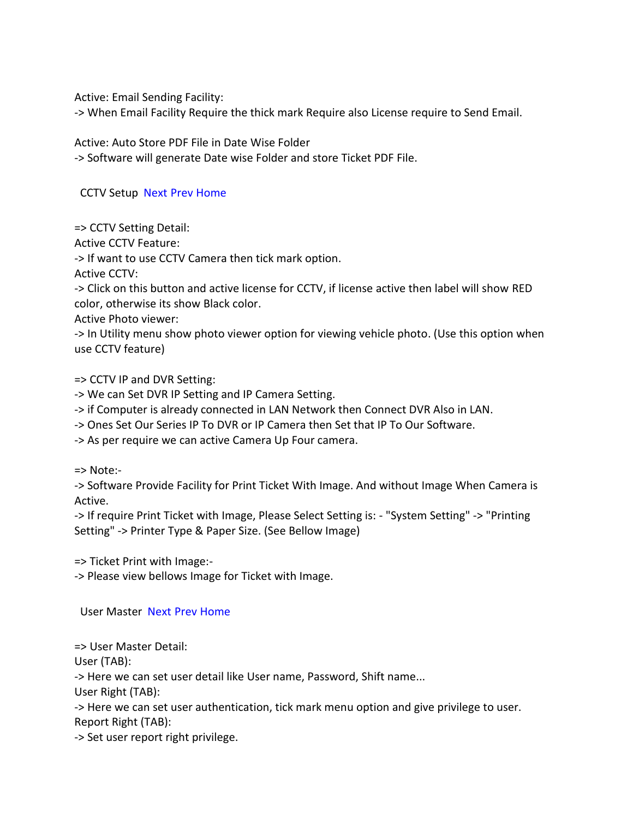Active: Email Sending Facility:

-> When Email Facility Require the thick mark Require also License require to Send Email.

Active: Auto Store PDF File in Date Wise Folder

-> Software will generate Date wise Folder and store Ticket PDF File.

#### CCTV Setup [Next](mk:@MSITStore:C:/Program%20Files%20(x86)/I%20Magic%20Solution/Weighbridge%20Management%20Software/WB%20Help.chm::/User%20Master.html) [Prev](mk:@MSITStore:C:/Program%20Files%20(x86)/I%20Magic%20Solution/Weighbridge%20Management%20Software/WB%20Help.chm::/SMS%20Email%20Setup.html) [Home](mk:@MSITStore:C:/Program%20Files%20(x86)/I%20Magic%20Solution/Weighbridge%20Management%20Software/WB%20Help.chm::/Sitemap.html)

=> CCTV Setting Detail:

Active CCTV Feature:

-> If want to use CCTV Camera then tick mark option.

Active CCTV:

-> Click on this button and active license for CCTV, if license active then label will show RED color, otherwise its show Black color.

Active Photo viewer:

-> In Utility menu show photo viewer option for viewing vehicle photo. (Use this option when use CCTV feature)

=> CCTV IP and DVR Setting:

-> We can Set DVR IP Setting and IP Camera Setting.

-> if Computer is already connected in LAN Network then Connect DVR Also in LAN.

-> Ones Set Our Series IP To DVR or IP Camera then Set that IP To Our Software.

-> As per require we can active Camera Up Four camera.

=> Note:-

-> Software Provide Facility for Print Ticket With Image. And without Image When Camera is Active.

-> If require Print Ticket with Image, Please Select Setting is: - "System Setting" -> "Printing Setting" -> Printer Type & Paper Size. (See Bellow Image)

=> Ticket Print with Image:-

-> Please view bellows Image for Ticket with Image.

User Master [Next](mk:@MSITStore:C:/Program%20Files%20(x86)/I%20Magic%20Solution/Weighbridge%20Management%20Software/WB%20Help.chm::/Party%20Master.html) [Prev](mk:@MSITStore:C:/Program%20Files%20(x86)/I%20Magic%20Solution/Weighbridge%20Management%20Software/WB%20Help.chm::/CCTV%20Setup.html) [Home](mk:@MSITStore:C:/Program%20Files%20(x86)/I%20Magic%20Solution/Weighbridge%20Management%20Software/WB%20Help.chm::/Sitemap.html) 

=> User Master Detail:

User (TAB):

-> Here we can set user detail like User name, Password, Shift name...

User Right (TAB):

-> Here we can set user authentication, tick mark menu option and give privilege to user. Report Right (TAB):

-> Set user report right privilege.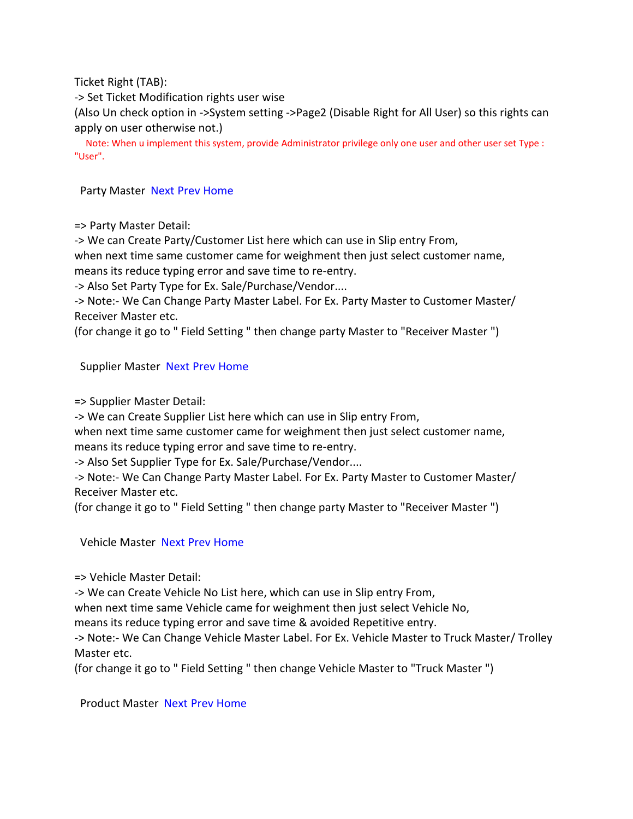Ticket Right (TAB):

-> Set Ticket Modification rights user wise

(Also Un check option in ->System setting ->Page2 (Disable Right for All User) so this rights can apply on user otherwise not.)

Note: When u implement this system, provide Administrator privilege only one user and other user set Type : "User".

Party Master [Next](mk:@MSITStore:C:/Program%20Files%20(x86)/I%20Magic%20Solution/Weighbridge%20Management%20Software/WB%20Help.chm::/Supplier%20Master.html) [Prev](mk:@MSITStore:C:/Program%20Files%20(x86)/I%20Magic%20Solution/Weighbridge%20Management%20Software/WB%20Help.chm::/User%20Master.html) [Home](mk:@MSITStore:C:/Program%20Files%20(x86)/I%20Magic%20Solution/Weighbridge%20Management%20Software/WB%20Help.chm::/Sitemap.html) 

=> Party Master Detail:

-> We can Create Party/Customer List here which can use in Slip entry From,

when next time same customer came for weighment then just select customer name, means its reduce typing error and save time to re-entry.

-> Also Set Party Type for Ex. Sale/Purchase/Vendor....

-> Note:- We Can Change Party Master Label. For Ex. Party Master to Customer Master/ Receiver Master etc.

(for change it go to " Field Setting " then change party Master to "Receiver Master ")

#### Supplier Master [Next](mk:@MSITStore:C:/Program%20Files%20(x86)/I%20Magic%20Solution/Weighbridge%20Management%20Software/WB%20Help.chm::/Vehicle%20Master.html) [Prev](mk:@MSITStore:C:/Program%20Files%20(x86)/I%20Magic%20Solution/Weighbridge%20Management%20Software/WB%20Help.chm::/Party%20Master.html) [Home](mk:@MSITStore:C:/Program%20Files%20(x86)/I%20Magic%20Solution/Weighbridge%20Management%20Software/WB%20Help.chm::/Sitemap.html)

=> Supplier Master Detail:

-> We can Create Supplier List here which can use in Slip entry From,

when next time same customer came for weighment then just select customer name, means its reduce typing error and save time to re-entry.

-> Also Set Supplier Type for Ex. Sale/Purchase/Vendor....

-> Note:- We Can Change Party Master Label. For Ex. Party Master to Customer Master/ Receiver Master etc.

(for change it go to " Field Setting " then change party Master to "Receiver Master ")

Vehicle Master [Next](mk:@MSITStore:C:/Program%20Files%20(x86)/I%20Magic%20Solution/Weighbridge%20Management%20Software/WB%20Help.chm::/Product%20Master.html) [Prev](mk:@MSITStore:C:/Program%20Files%20(x86)/I%20Magic%20Solution/Weighbridge%20Management%20Software/WB%20Help.chm::/Supplier%20Master.html) [Home](mk:@MSITStore:C:/Program%20Files%20(x86)/I%20Magic%20Solution/Weighbridge%20Management%20Software/WB%20Help.chm::/Sitemap.html) 

=> Vehicle Master Detail:

-> We can Create Vehicle No List here, which can use in Slip entry From,

when next time same Vehicle came for weighment then just select Vehicle No,

means its reduce typing error and save time & avoided Repetitive entry.

-> Note:- We Can Change Vehicle Master Label. For Ex. Vehicle Master to Truck Master/ Trolley Master etc.

(for change it go to " Field Setting " then change Vehicle Master to "Truck Master ")

Product Master [Next](mk:@MSITStore:C:/Program%20Files%20(x86)/I%20Magic%20Solution/Weighbridge%20Management%20Software/WB%20Help.chm::/COM%20Port%20Setup.html) [Prev](mk:@MSITStore:C:/Program%20Files%20(x86)/I%20Magic%20Solution/Weighbridge%20Management%20Software/WB%20Help.chm::/Vehicle%20Master.html) [Home](mk:@MSITStore:C:/Program%20Files%20(x86)/I%20Magic%20Solution/Weighbridge%20Management%20Software/WB%20Help.chm::/Sitemap.html)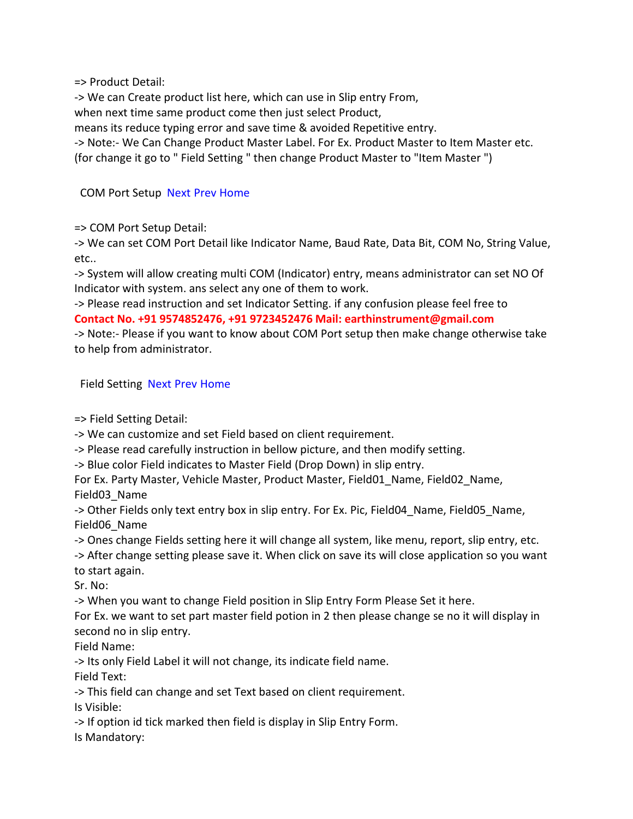=> Product Detail:

-> We can Create product list here, which can use in Slip entry From,

when next time same product come then just select Product,

means its reduce typing error and save time & avoided Repetitive entry.

-> Note:- We Can Change Product Master Label. For Ex. Product Master to Item Master etc.

(for change it go to " Field Setting " then change Product Master to "Item Master ")

#### COM Port Setup [Next](mk:@MSITStore:C:/Program%20Files%20(x86)/I%20Magic%20Solution/Weighbridge%20Management%20Software/WB%20Help.chm::/Field%20Setting.html) [Prev](mk:@MSITStore:C:/Program%20Files%20(x86)/I%20Magic%20Solution/Weighbridge%20Management%20Software/WB%20Help.chm::/Product%20Master.html) [Home](mk:@MSITStore:C:/Program%20Files%20(x86)/I%20Magic%20Solution/Weighbridge%20Management%20Software/WB%20Help.chm::/Sitemap.html)

=> COM Port Setup Detail:

-> We can set COM Port Detail like Indicator Name, Baud Rate, Data Bit, COM No, String Value, etc..

-> System will allow creating multi COM (Indicator) entry, means administrator can set NO Of Indicator with system. ans select any one of them to work.

-> Please read instruction and set Indicator Setting. if any confusion please feel free to **Contact No. +91 9574852476, +91 9723452476 Mail: earthinstrument@gmail.com**

-> Note:- Please if you want to know about COM Port setup then make change otherwise take to help from administrator.

Field Setting [Next](mk:@MSITStore:C:/Program%20Files%20(x86)/I%20Magic%20Solution/Weighbridge%20Management%20Software/WB%20Help.chm::/Slip%20Entry.html) [Prev](mk:@MSITStore:C:/Program%20Files%20(x86)/I%20Magic%20Solution/Weighbridge%20Management%20Software/WB%20Help.chm::/Com%20port%20Setup.html) [Home](mk:@MSITStore:C:/Program%20Files%20(x86)/I%20Magic%20Solution/Weighbridge%20Management%20Software/WB%20Help.chm::/Sitemap.html) 

=> Field Setting Detail:

-> We can customize and set Field based on client requirement.

-> Please read carefully instruction in bellow picture, and then modify setting.

-> Blue color Field indicates to Master Field (Drop Down) in slip entry.

For Ex. Party Master, Vehicle Master, Product Master, Field01\_Name, Field02\_Name, Field03\_Name

-> Other Fields only text entry box in slip entry. For Ex. Pic, Field04\_Name, Field05\_Name, Field06\_Name

-> Ones change Fields setting here it will change all system, like menu, report, slip entry, etc.

-> After change setting please save it. When click on save its will close application so you want to start again.

Sr. No:

-> When you want to change Field position in Slip Entry Form Please Set it here.

For Ex. we want to set part master field potion in 2 then please change se no it will display in second no in slip entry.

Field Name:

-> Its only Field Label it will not change, its indicate field name.

Field Text:

-> This field can change and set Text based on client requirement.

Is Visible:

-> If option id tick marked then field is display in Slip Entry Form.

Is Mandatory: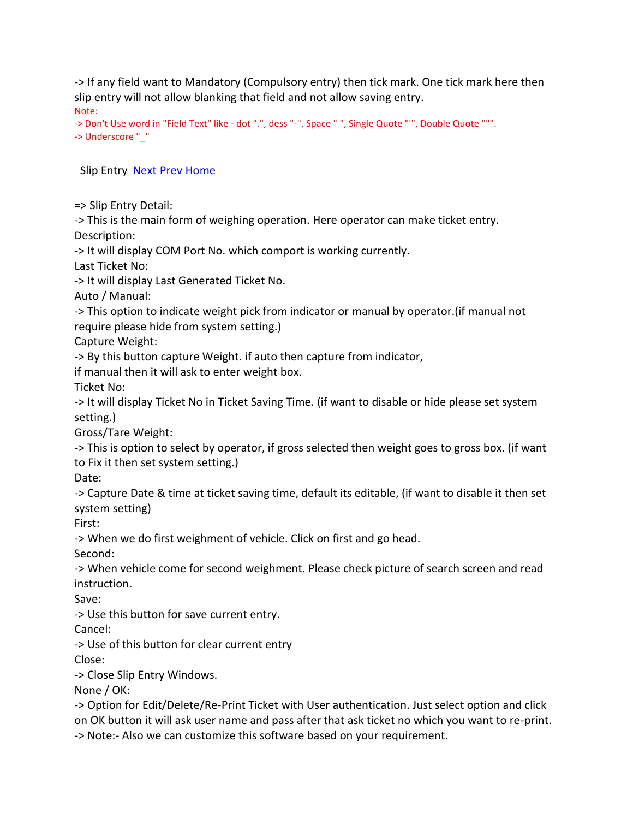-> If any field want to Mandatory (Compulsory entry) then tick mark. One tick mark here then slip entry will not allow blanking that field and not allow saving entry. Note:

```
-> Don't Use word in "Field Text" like - dot ".", dess "-", Space " ", Single Quote "'", Double Quote """. 
-> Underscore "_"
```
#### Slip Entry [Next](mk:@MSITStore:C:/Program%20Files%20(x86)/I%20Magic%20Solution/Weighbridge%20Management%20Software/WB%20Help.chm::/CCTV%20Slip%20Entry.html) [Prev](mk:@MSITStore:C:/Program%20Files%20(x86)/I%20Magic%20Solution/Weighbridge%20Management%20Software/WB%20Help.chm::/Field%20Setting.html) [Home](mk:@MSITStore:C:/Program%20Files%20(x86)/I%20Magic%20Solution/Weighbridge%20Management%20Software/WB%20Help.chm::/Sitemap.html)

=> Slip Entry Detail:

-> This is the main form of weighing operation. Here operator can make ticket entry. Description:

-> It will display COM Port No. which comport is working currently.

Last Ticket No:

-> It will display Last Generated Ticket No.

Auto / Manual:

-> This option to indicate weight pick from indicator or manual by operator.(if manual not require please hide from system setting.)

Capture Weight:

-> By this button capture Weight. if auto then capture from indicator,

if manual then it will ask to enter weight box.

Ticket No:

-> It will display Ticket No in Ticket Saving Time. (if want to disable or hide please set system setting.)

Gross/Tare Weight:

-> This is option to select by operator, if gross selected then weight goes to gross box. (if want to Fix it then set system setting.)

Date:

-> Capture Date & time at ticket saving time, default its editable, (if want to disable it then set system setting)

First:

-> When we do first weighment of vehicle. Click on first and go head.

Second:

-> When vehicle come for second weighment. Please check picture of search screen and read instruction.

Save:

-> Use this button for save current entry.

Cancel:

-> Use of this button for clear current entry

Close:

-> Close Slip Entry Windows.

None / OK:

-> Option for Edit/Delete/Re-Print Ticket with User authentication. Just select option and click on OK button it will ask user name and pass after that ask ticket no which you want to re-print. -> Note:- Also we can customize this software based on your requirement.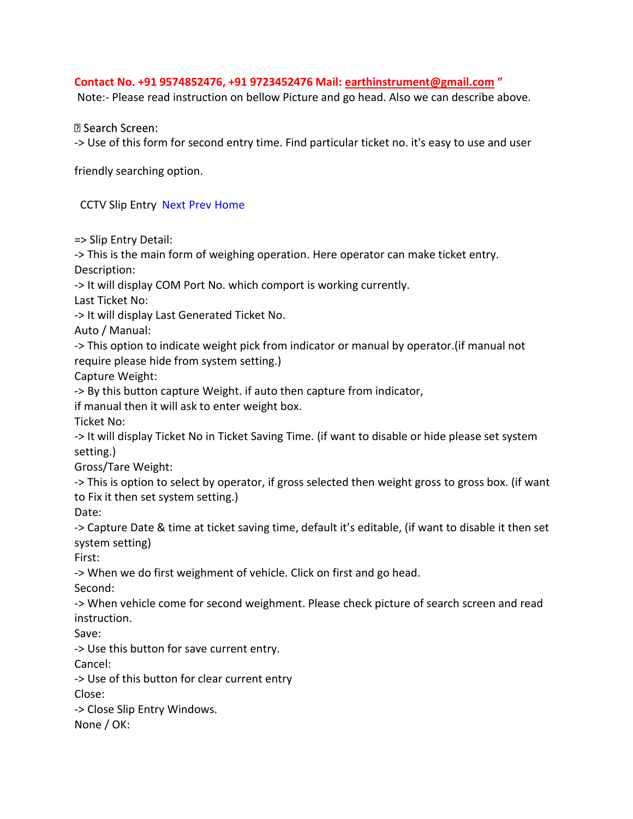#### **Contact No. +91 9574852476, +91 9723452476 Mail: [earthinstrument@gmail.com](mailto:earthinstrument@gmail.com) "**

Note:- Please read instruction on bellow Picture and go head. Also we can describe above.

**2 Search Screen:** 

-> Use of this form for second entry time. Find particular ticket no. it's easy to use and user

friendly searching option.

CCTV Slip Entry [Next](mk:@MSITStore:C:/Program%20Files%20(x86)/I%20Magic%20Solution/Weighbridge%20Management%20Software/WB%20Help.chm::/Reports.html) [Prev](mk:@MSITStore:C:/Program%20Files%20(x86)/I%20Magic%20Solution/Weighbridge%20Management%20Software/WB%20Help.chm::/Slip%20Entry.html) [Home](mk:@MSITStore:C:/Program%20Files%20(x86)/I%20Magic%20Solution/Weighbridge%20Management%20Software/WB%20Help.chm::/Sitemap.html) 

=> Slip Entry Detail:

-> This is the main form of weighing operation. Here operator can make ticket entry. Description:

-> It will display COM Port No. which comport is working currently.

Last Ticket No:

-> It will display Last Generated Ticket No.

Auto / Manual:

-> This option to indicate weight pick from indicator or manual by operator.(if manual not require please hide from system setting.)

Capture Weight:

-> By this button capture Weight. if auto then capture from indicator,

if manual then it will ask to enter weight box.

Ticket No:

-> It will display Ticket No in Ticket Saving Time. (if want to disable or hide please set system setting.)

Gross/Tare Weight:

-> This is option to select by operator, if gross selected then weight gross to gross box. (if want to Fix it then set system setting.)

Date:

-> Capture Date & time at ticket saving time, default it's editable, (if want to disable it then set system setting)

First:

-> When we do first weighment of vehicle. Click on first and go head.

Second:

-> When vehicle come for second weighment. Please check picture of search screen and read instruction.

Save:

-> Use this button for save current entry.

Cancel:

-> Use of this button for clear current entry

Close:

-> Close Slip Entry Windows.

None / OK: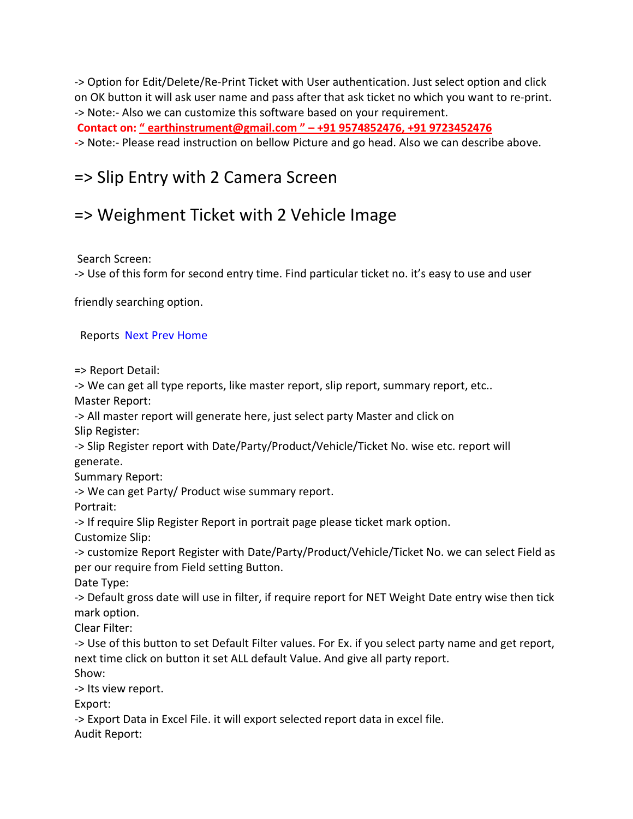-> Option for Edit/Delete/Re-Print Ticket with User authentication. Just select option and click on OK button it will ask user name and pass after that ask ticket no which you want to re-print. -> Note:- Also we can customize this software based on your requirement.

**Contact on: " earthinstrument@gmail.com " – +91 9574852476, +91 9723452476**

**-**> Note:- Please read instruction on bellow Picture and go head. Also we can describe above.

# => Slip Entry with 2 Camera Screen

# => Weighment Ticket with 2 Vehicle Image

Search Screen:

-> Use of this form for second entry time. Find particular ticket no. it's easy to use and user

friendly searching option.

Reports [Next](mk:@MSITStore:C:/Program%20Files%20(x86)/I%20Magic%20Solution/Weighbridge%20Management%20Software/WB%20Help.chm::/Customize%20Reports.html) [Prev](mk:@MSITStore:C:/Program%20Files%20(x86)/I%20Magic%20Solution/Weighbridge%20Management%20Software/WB%20Help.chm::/Slip%20Entry%20CCTV.html) [Home](mk:@MSITStore:C:/Program%20Files%20(x86)/I%20Magic%20Solution/Weighbridge%20Management%20Software/WB%20Help.chm::/Sitemap.html) 

=> Report Detail:

-> We can get all type reports, like master report, slip report, summary report, etc..

Master Report:

-> All master report will generate here, just select party Master and click on Slip Register:

-> Slip Register report with Date/Party/Product/Vehicle/Ticket No. wise etc. report will generate.

Summary Report:

-> We can get Party/ Product wise summary report.

Portrait:

-> If require Slip Register Report in portrait page please ticket mark option.

Customize Slip:

-> customize Report Register with Date/Party/Product/Vehicle/Ticket No. we can select Field as per our require from Field setting Button.

Date Type:

-> Default gross date will use in filter, if require report for NET Weight Date entry wise then tick mark option.

Clear Filter:

-> Use of this button to set Default Filter values. For Ex. if you select party name and get report, next time click on button it set ALL default Value. And give all party report.

Show:

-> Its view report.

Export:

-> Export Data in Excel File. it will export selected report data in excel file.

Audit Report: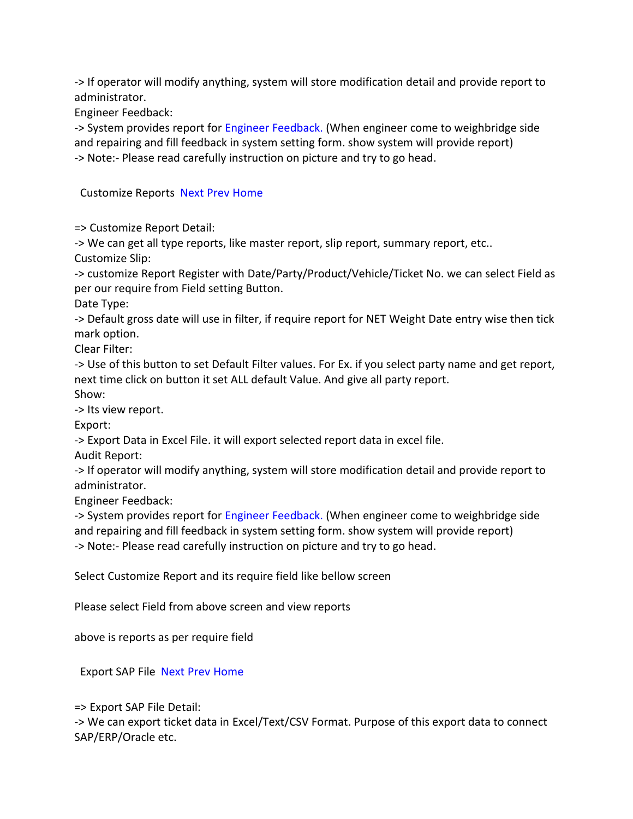-> If operator will modify anything, system will store modification detail and provide report to administrator.

Engineer Feedback:

-> System provides report for [Engineer Feedback.](mk:@MSITStore:C:/Program%20Files%20(x86)/I%20Magic%20Solution/Weighbridge%20Management%20Software/WB%20Help.chm::/Engineer%20Feedback%20Setting.html) (When engineer come to weighbridge side and repairing and fill feedback in system setting form. show system will provide report) -> Note:- Please read carefully instruction on picture and try to go head.

#### Customize Reports [Next](mk:@MSITStore:C:/Program%20Files%20(x86)/I%20Magic%20Solution/Weighbridge%20Management%20Software/WB%20Help.chm::/Export%20SAP%20File.html) [Prev](mk:@MSITStore:C:/Program%20Files%20(x86)/I%20Magic%20Solution/Weighbridge%20Management%20Software/WB%20Help.chm::/Reports.html) [Home](mk:@MSITStore:C:/Program%20Files%20(x86)/I%20Magic%20Solution/Weighbridge%20Management%20Software/WB%20Help.chm::/Sitemap.html)

=> Customize Report Detail:

-> We can get all type reports, like master report, slip report, summary report, etc.. Customize Slip:

-> customize Report Register with Date/Party/Product/Vehicle/Ticket No. we can select Field as per our require from Field setting Button.

Date Type:

-> Default gross date will use in filter, if require report for NET Weight Date entry wise then tick mark option.

Clear Filter:

-> Use of this button to set Default Filter values. For Ex. if you select party name and get report, next time click on button it set ALL default Value. And give all party report.

Show:

-> Its view report.

Export:

-> Export Data in Excel File. it will export selected report data in excel file.

Audit Report:

-> If operator will modify anything, system will store modification detail and provide report to administrator.

Engineer Feedback:

-> System provides report for [Engineer Feedback.](mk:@MSITStore:C:/Program%20Files%20(x86)/I%20Magic%20Solution/Weighbridge%20Management%20Software/WB%20Help.chm::/Engineer%20Feedback%20Setting.html) (When engineer come to weighbridge side and repairing and fill feedback in system setting form. show system will provide report) -> Note:- Please read carefully instruction on picture and try to go head.

Select Customize Report and its require field like bellow screen

Please select Field from above screen and view reports

above is reports as per require field

Export SAP File [Next](mk:@MSITStore:C:/Program%20Files%20(x86)/I%20Magic%20Solution/Weighbridge%20Management%20Software/WB%20Help.chm::/Delete%20Ticket%20Data.html) [Prev](mk:@MSITStore:C:/Program%20Files%20(x86)/I%20Magic%20Solution/Weighbridge%20Management%20Software/WB%20Help.chm::/Reports.html) [Home](mk:@MSITStore:C:/Program%20Files%20(x86)/I%20Magic%20Solution/Weighbridge%20Management%20Software/WB%20Help.chm::/Sitemap.html) 

=> Export SAP File Detail:

-> We can export ticket data in Excel/Text/CSV Format. Purpose of this export data to connect SAP/ERP/Oracle etc.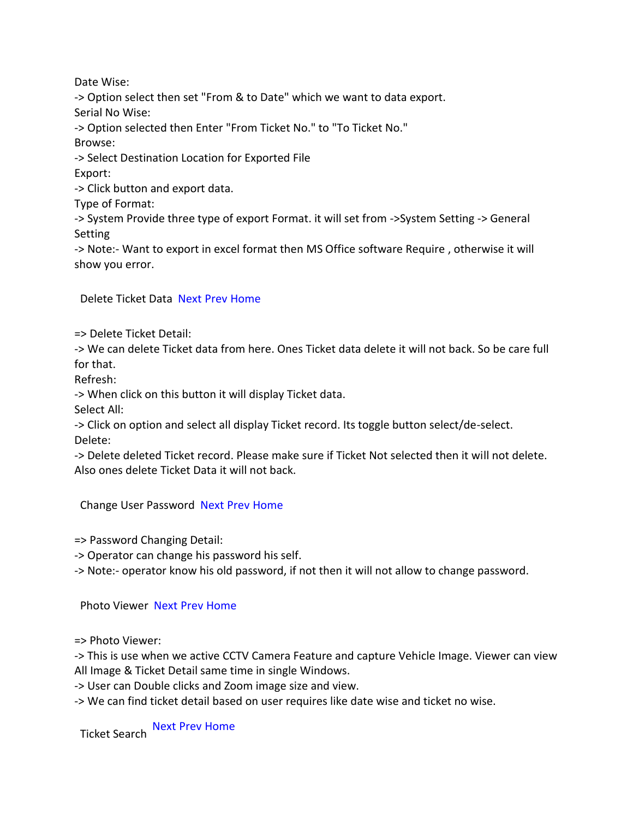Date Wise: -> Option select then set "From & to Date" which we want to data export. Serial No Wise: -> Option selected then Enter "From Ticket No." to "To Ticket No." Browse: -> Select Destination Location for Exported File Export: -> Click button and export data. Type of Format: -> System Provide three type of export Format. it will set from ->System Setting -> General Setting -> Note:- Want to export in excel format then MS Office software Require , otherwise it will

Delete Ticket Data [Next](mk:@MSITStore:C:/Program%20Files%20(x86)/I%20Magic%20Solution/Weighbridge%20Management%20Software/WB%20Help.chm::/Change%20User%20Password.html) [Prev](mk:@MSITStore:C:/Program%20Files%20(x86)/I%20Magic%20Solution/Weighbridge%20Management%20Software/WB%20Help.chm::/Export%20SAP%20File.html) [Home](mk:@MSITStore:C:/Program%20Files%20(x86)/I%20Magic%20Solution/Weighbridge%20Management%20Software/WB%20Help.chm::/Sitemap.html) 

=> Delete Ticket Detail:

show you error.

-> We can delete Ticket data from here. Ones Ticket data delete it will not back. So be care full for that.

Refresh:

-> When click on this button it will display Ticket data.

Select All:

-> Click on option and select all display Ticket record. Its toggle button select/de-select. Delete:

-> Delete deleted Ticket record. Please make sure if Ticket Not selected then it will not delete. Also ones delete Ticket Data it will not back.

Change User Password [Next](mk:@MSITStore:C:/Program%20Files%20(x86)/I%20Magic%20Solution/Weighbridge%20Management%20Software/WB%20Help.chm::/Photo%20Viewer.html) [Prev](mk:@MSITStore:C:/Program%20Files%20(x86)/I%20Magic%20Solution/Weighbridge%20Management%20Software/WB%20Help.chm::/Delete%20Ticket%20Data.html) [Home](mk:@MSITStore:C:/Program%20Files%20(x86)/I%20Magic%20Solution/Weighbridge%20Management%20Software/WB%20Help.chm::/Sitemap.html) 

=> Password Changing Detail:

-> Operator can change his password his self.

-> Note:- operator know his old password, if not then it will not allow to change password.

Photo Viewer [Next](mk:@MSITStore:C:/Program%20Files%20(x86)/I%20Magic%20Solution/Weighbridge%20Management%20Software/WB%20Help.chm::/Ticket%20Search.html) [Prev](mk:@MSITStore:C:/Program%20Files%20(x86)/I%20Magic%20Solution/Weighbridge%20Management%20Software/WB%20Help.chm::/Change%20User%20Password.html) [Home](mk:@MSITStore:C:/Program%20Files%20(x86)/I%20Magic%20Solution/Weighbridge%20Management%20Software/WB%20Help.chm::/Sitemap.html) 

=> Photo Viewer:

-> This is use when we active CCTV Camera Feature and capture Vehicle Image. Viewer can view All Image & Ticket Detail same time in single Windows.

-> User can Double clicks and Zoom image size and view.

-> We can find ticket detail based on user requires like date wise and ticket no wise.

Ticket Search [Next](mk:@MSITStore:C:/Program%20Files%20(x86)/I%20Magic%20Solution/Weighbridge%20Management%20Software/WB%20Help.chm::/Create%20Custome%20Paper%20Size.html) [Prev](mk:@MSITStore:C:/Program%20Files%20(x86)/I%20Magic%20Solution/Weighbridge%20Management%20Software/WB%20Help.chm::/Photo%20Viewer.html) [Home](mk:@MSITStore:C:/Program%20Files%20(x86)/I%20Magic%20Solution/Weighbridge%20Management%20Software/WB%20Help.chm::/Sitemap.html)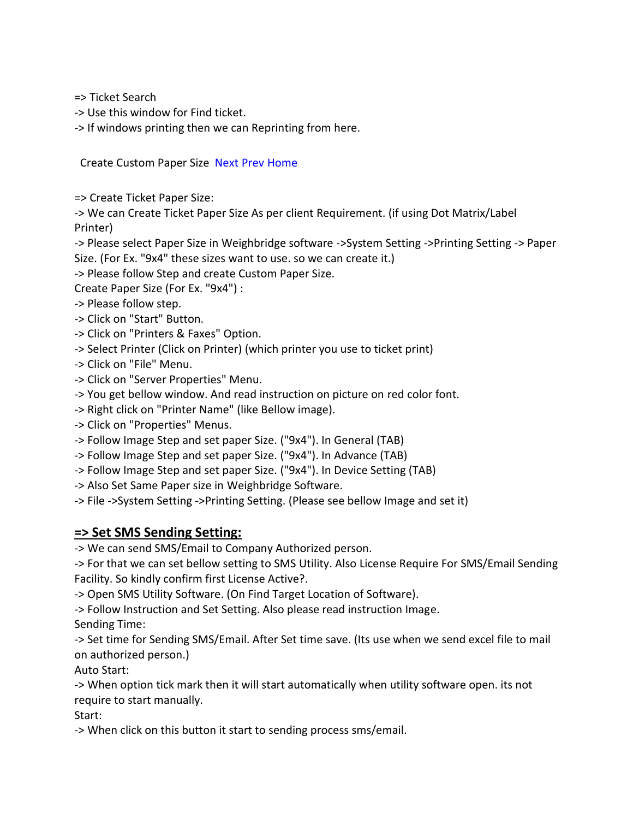=> Ticket Search

- -> Use this window for Find ticket.
- -> If windows printing then we can Reprinting from here.

Create Custom Paper Size [Next](mk:@MSITStore:C:/Program%20Files%20(x86)/I%20Magic%20Solution/Weighbridge%20Management%20Software/WB%20Help.chm::/SMS%20Setting.html) [Prev](mk:@MSITStore:C:/Program%20Files%20(x86)/I%20Magic%20Solution/Weighbridge%20Management%20Software/WB%20Help.chm::/Ticket%20Search.html) [Home](mk:@MSITStore:C:/Program%20Files%20(x86)/I%20Magic%20Solution/Weighbridge%20Management%20Software/WB%20Help.chm::/Sitemap.html) 

=> Create Ticket Paper Size:

-> We can Create Ticket Paper Size As per client Requirement. (if using Dot Matrix/Label Printer)

-> Please select Paper Size in Weighbridge software ->System Setting ->Printing Setting -> Paper Size. (For Ex. "9x4" these sizes want to use. so we can create it.)

-> Please follow Step and create Custom Paper Size.

Create Paper Size (For Ex. "9x4") :

- -> Please follow step.
- -> Click on "Start" Button.
- -> Click on "Printers & Faxes" Option.
- -> Select Printer (Click on Printer) (which printer you use to ticket print)
- -> Click on "File" Menu.
- -> Click on "Server Properties" Menu.
- -> You get bellow window. And read instruction on picture on red color font.
- -> Right click on "Printer Name" (like Bellow image).
- -> Click on "Properties" Menus.
- -> Follow Image Step and set paper Size. ("9x4"). In General (TAB)
- -> Follow Image Step and set paper Size. ("9x4"). In Advance (TAB)
- -> Follow Image Step and set paper Size. ("9x4"). In Device Setting (TAB)
- -> Also Set Same Paper size in Weighbridge Software.

-> File ->System Setting ->Printing Setting. (Please see bellow Image and set it)

### **=> Set SMS Sending Setting:**

-> We can send SMS/Email to Company Authorized person.

-> For that we can set bellow setting to SMS Utility. Also License Require For SMS/Email Sending Facility. So kindly confirm first License Active?.

-> Open SMS Utility Software. (On Find Target Location of Software).

-> Follow Instruction and Set Setting. Also please read instruction Image.

Sending Time:

-> Set time for Sending SMS/Email. After Set time save. (Its use when we send excel file to mail on authorized person.)

Auto Start:

-> When option tick mark then it will start automatically when utility software open. its not require to start manually.

Start:

-> When click on this button it start to sending process sms/email.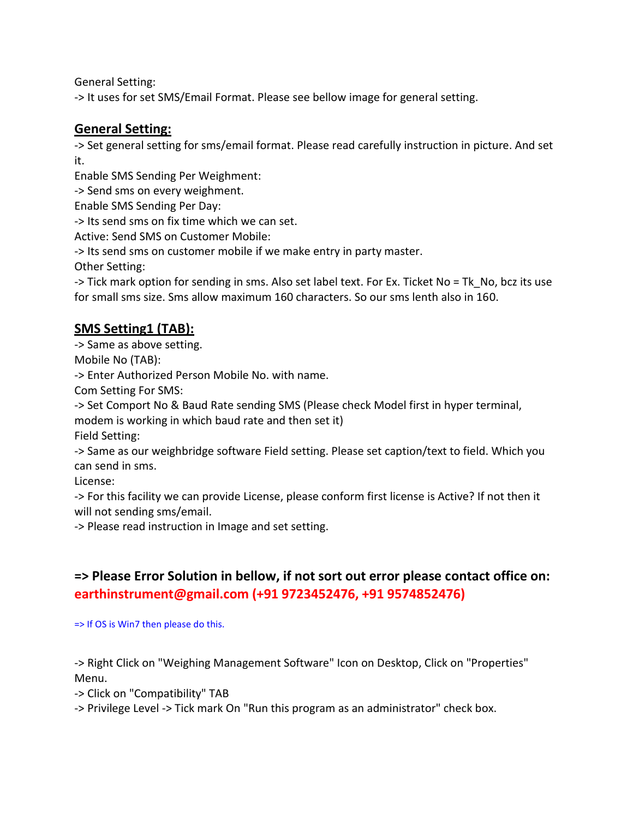General Setting:

-> It uses for set SMS/Email Format. Please see bellow image for general setting.

### **General Setting:**

-> Set general setting for sms/email format. Please read carefully instruction in picture. And set it.

Enable SMS Sending Per Weighment:

-> Send sms on every weighment.

Enable SMS Sending Per Day:

-> Its send sms on fix time which we can set.

Active: Send SMS on Customer Mobile:

-> Its send sms on customer mobile if we make entry in party master.

Other Setting:

-> Tick mark option for sending in sms. Also set label text. For Ex. Ticket No = Tk\_No, bcz its use for small sms size. Sms allow maximum 160 characters. So our sms lenth also in 160.

# **SMS Setting1 (TAB):**

-> Same as above setting.

Mobile No (TAB):

-> Enter Authorized Person Mobile No. with name.

Com Setting For SMS:

-> Set Comport No & Baud Rate sending SMS (Please check Model first in hyper terminal,

modem is working in which baud rate and then set it)

Field Setting:

-> Same as our weighbridge software Field setting. Please set caption/text to field. Which you can send in sms.

License:

-> For this facility we can provide License, please conform first license is Active? If not then it will not sending sms/email.

-> Please read instruction in Image and set setting.

# **=> Please Error Solution in bellow, if not sort out error please contact office on: earthinstrument@gmail.com (+91 9723452476, +91 9574852476)**

=> If OS is Win7 then please do this.

-> Right Click on "Weighing Management Software" Icon on Desktop, Click on "Properties" Menu.

-> Click on "Compatibility" TAB

-> Privilege Level -> Tick mark On "Run this program as an administrator" check box.